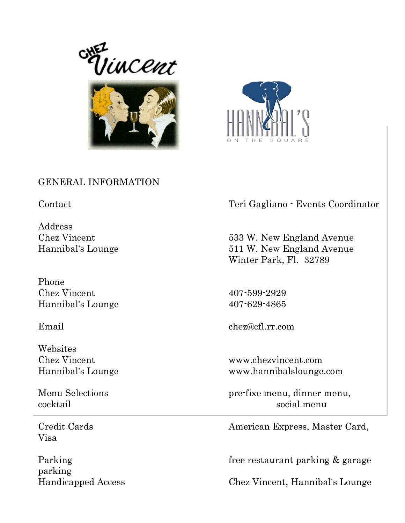





## GENERAL INFORMATION

Address

Phone Chez Vincent 407-599-2929 Hannibal's Lounge 407-629-4865

Websites

Visa

parking

Contact Teri Gagliano - Events Coordinator

Chez Vincent 533 W. New England Avenue Hannibal's Lounge 511 W. New England Avenue Winter Park, Fl. 32789

Email chez@cfl.rr.com

Chez Vincent www.chezvincent.com Hannibal's Lounge www.hannibalslounge.com

Menu Selections pre-fixe menu, dinner menu, cocktail social menu

Credit Cards **American Express, Master Card**,

Parking Free restaurant parking & garage

Handicapped Access Chez Vincent, Hannibal's Lounge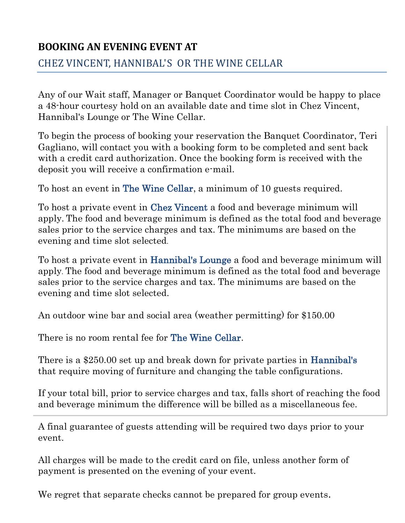# **BOOKING AN EVENING EVENT AT**

CHEZ VINCENT, HANNIBAL'S OR THE WINE CELLAR

Any of our Wait staff, Manager or Banquet Coordinator would be happy to place a 48-hour courtesy hold on an available date and time slot in Chez Vincent, Hannibal's Lounge or The Wine Cellar.

To begin the process of booking your reservation the Banquet Coordinator, Teri Gagliano, will contact you with a booking form to be completed and sent back with a credit card authorization. Once the booking form is received with the deposit you will receive a confirmation e-mail.

To host an event in The Wine Cellar, a minimum of 10 guests required.

To host a private event in Chez Vincent a food and beverage minimum will apply. The food and beverage minimum is defined as the total food and beverage sales prior to the service charges and tax. The minimums are based on the evening and time slot selected.

To host a private event in Hannibal's Lounge a food and beverage minimum will apply. The food and beverage minimum is defined as the total food and beverage sales prior to the service charges and tax. The minimums are based on the evening and time slot selected.

An outdoor wine bar and social area (weather permitting) for \$150.00

There is no room rental fee for The Wine Cellar.

There is a \$250.00 set up and break down for private parties in Hannibal's that require moving of furniture and changing the table configurations.

If your total bill, prior to service charges and tax, falls short of reaching the food and beverage minimum the difference will be billed as a miscellaneous fee.

A final guarantee of guests attending will be required two days prior to your event.

All charges will be made to the credit card on file, unless another form of payment is presented on the evening of your event.

We regret that separate checks cannot be prepared for group events.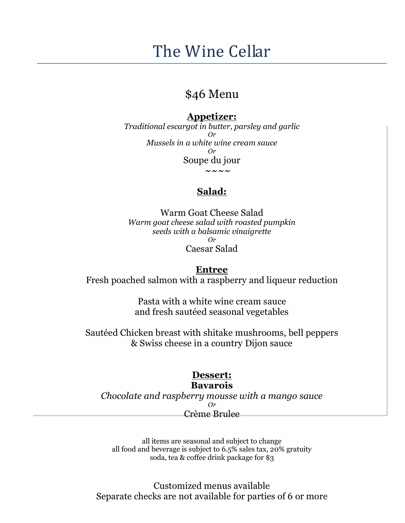# The Wine Cellar

# \$46 Menu

### **Appetizer:**

*Traditional escargot in butter, parsley and garlic Or Mussels in a white wine cream sauce Or* Soupe du jour **~~~~**

# **Salad:**

Warm Goat Cheese Salad *Warm goat cheese salad with roasted pumpkin seeds with a balsamic vinaigrette Or*

Caesar Salad

### **Entree**

Fresh poached salmon with a raspberry and liqueur reduction

Pasta with a white wine cream sauce and fresh sautéed seasonal vegetables

Sautéed Chicken breast with shitake mushrooms, bell peppers & Swiss cheese in a country Dijon sauce

### **Dessert: Bavarois**

*Chocolate and raspberry mousse with a mango sauce Or* Crème Brulee

all items are seasonal and subject to change all food and beverage is subject to  $6.5\%$  sales tax, 20% gratuity soda, tea & coffee drink package for \$3

Customized menus available Separate checks are not available for parties of 6 or more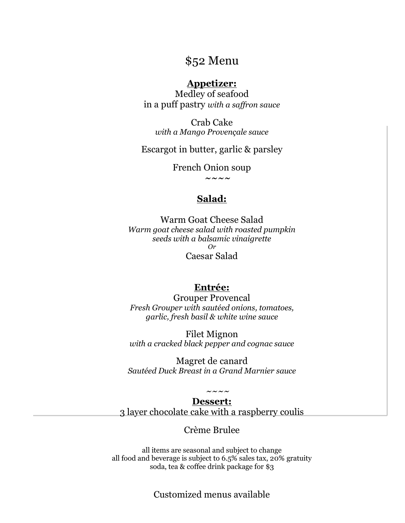# \$52 Menu

### **Appetizer:**

Medley of seafood in a puff pastry *with a saffron sauce*

Crab Cake *with a Mango Provençale sauce*

Escargot in butter, garlic & parsley

French Onion soup

**~~~~**

### **Salad:**

Warm Goat Cheese Salad *Warm goat cheese salad with roasted pumpkin seeds with a balsamic vinaigrette Or* Caesar Salad

#### **Entrée:**

Grouper Provencal *Fresh Grouper with sautéed onions, tomatoes, garlic, fresh basil & white wine sauce*

Filet Mignon *with a cracked black pepper and cognac sauce*

Magret de canard *Sautéed Duck Breast in a Grand Marnier sauce*

#### *~~~~* **Dessert:**

3 layer chocolate cake with a raspberry coulis

### Crème Brulee

all items are seasonal and subject to change all food and beverage is subject to  $6.5\%$  sales tax, 20% gratuity soda, tea & coffee drink package for \$3

Customized menus available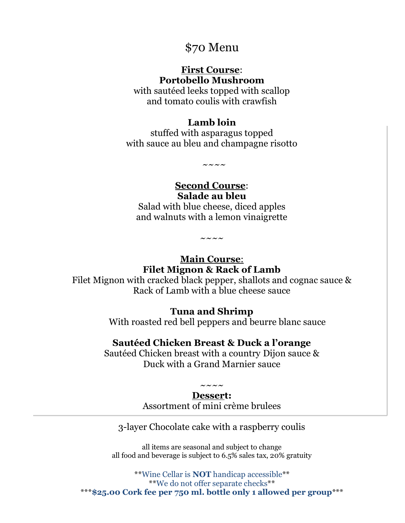# \$70 Menu

### **First Course**: **Portobello Mushroom**

with sautéed leeks topped with scallop and tomato coulis with crawfish

### **Lamb loin**

stuffed with asparagus topped with sauce au bleu and champagne risotto

 $\sim\sim\:\sim\:\sim$ 

**Second Course**: **Salade au bleu**

Salad with blue cheese, diced apples and walnuts with a lemon vinaigrette

 $\sim\sim\:\sim\:\sim$ 

**Main Course**: **Filet Mignon & Rack of Lamb**

Filet Mignon with cracked black pepper, shallots and cognac sauce & Rack of Lamb with a blue cheese sauce

### **Tuna and Shrimp**

With roasted red bell peppers and beurre blanc sauce

### **Sautéed Chicken Breast & Duck a l'orange**

Sautéed Chicken breast with a country Dijon sauce & Duck with a Grand Marnier sauce

#### $\sim\,\sim\,\sim\,\sim$ **Dessert:**

Assortment of mini crème brulees

3-layer Chocolate cake with a raspberry coulis

all items are seasonal and subject to change all food and beverage is subject to 6.5% sales tax, 20% gratuity

\*\*Wine Cellar is **NOT** handicap accessible\*\* \*\*We do not offer separate checks\*\* \*\*\***\$25.00 Cork fee per 750 ml. bottle only 1 allowed per group**\*\*\*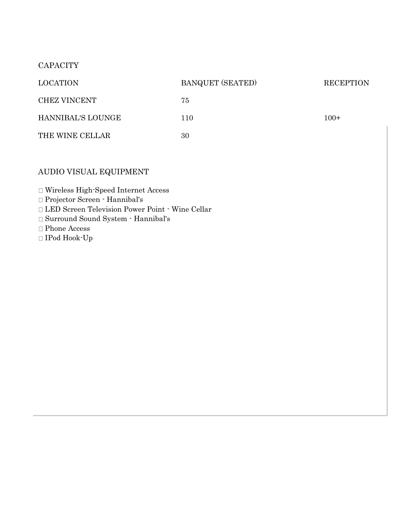#### **CAPACITY**

| <b>LOCATION</b>     | <b>BANQUET (SEATED)</b> | <b>RECEPTION</b> |
|---------------------|-------------------------|------------------|
| <b>CHEZ VINCENT</b> | 75                      | $100+$           |
| HANNIBAL'S LOUNGE   | 110                     |                  |
| THE WINE CELLAR     | 30                      |                  |

### AUDIO VISUAL EQUIPMENT

Wireless High-Speed Internet Access

Projector Screen - Hannibal's

LED Screen Television Power Point - Wine Cellar

Surround Sound System - Hannibal's

 $\Box$  Phone Access

 $\Box$  IPod Hook-Up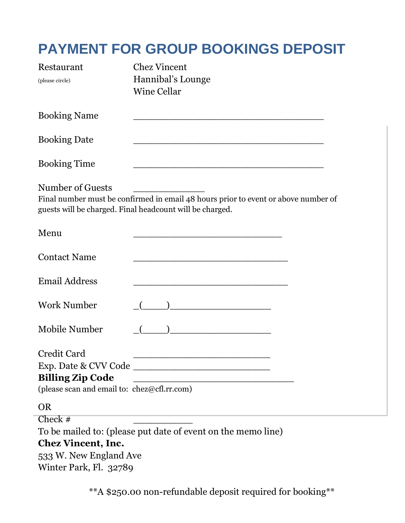# **PAYMENT FOR GROUP BOOKINGS DEPOSIT**

| Restaurant<br>(please circle)                                                         | <b>Chez Vincent</b><br>Hannibal's Lounge<br><b>Wine Cellar</b>                                                                                 |
|---------------------------------------------------------------------------------------|------------------------------------------------------------------------------------------------------------------------------------------------|
| <b>Booking Name</b>                                                                   | <u> 1989 - Johann John Stone, markin fan it ferstjer fan de ferstjer fan it ferstjer fan it ferstjer fan it fers</u>                           |
| <b>Booking Date</b>                                                                   |                                                                                                                                                |
| <b>Booking Time</b>                                                                   |                                                                                                                                                |
| Number of Guests                                                                      | Final number must be confirmed in email 48 hours prior to event or above number of<br>guests will be charged. Final headcount will be charged. |
| Menu                                                                                  | <u> 1980 - Johann Barbara, martxa alemaniar a</u>                                                                                              |
| <b>Contact Name</b>                                                                   |                                                                                                                                                |
| <b>Email Address</b>                                                                  |                                                                                                                                                |
| <b>Work Number</b>                                                                    |                                                                                                                                                |
| Mobile Number                                                                         | <u> 1980 - Jan Barbara Barbara, masa ka</u>                                                                                                    |
| Credit Card<br><b>Billing Zip Code</b><br>(please scan and email to: chez@cfl.rr.com) |                                                                                                                                                |
| <b>OR</b><br>Check #                                                                  | To be mailed to: (please put date of event on the memo line)                                                                                   |

## **Chez Vincent, Inc.**

533 W. New England Ave Winter Park, Fl. 32789

\*\*A \$250.00 non-refundable deposit required for booking\*\*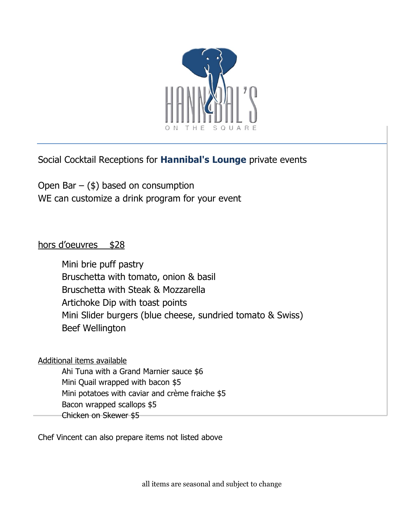

Social Cocktail Receptions for **Hannibal's Lounge** private events

Open Bar  $-$  (\$) based on consumption WE can customize a drink program for your event

### hors d'oeuvres \$28

Mini brie puff pastry Bruschetta with tomato, onion & basil Bruschetta with Steak & Mozzarella Artichoke Dip with toast points Mini Slider burgers (blue cheese, sundried tomato & Swiss) Beef Wellington

Additional items available

Ahi Tuna with a Grand Marnier sauce \$6 Mini Quail wrapped with bacon \$5 Mini potatoes with caviar and crème fraiche \$5 Bacon wrapped scallops \$5 Chicken on Skewer \$5

Chef Vincent can also prepare items not listed above